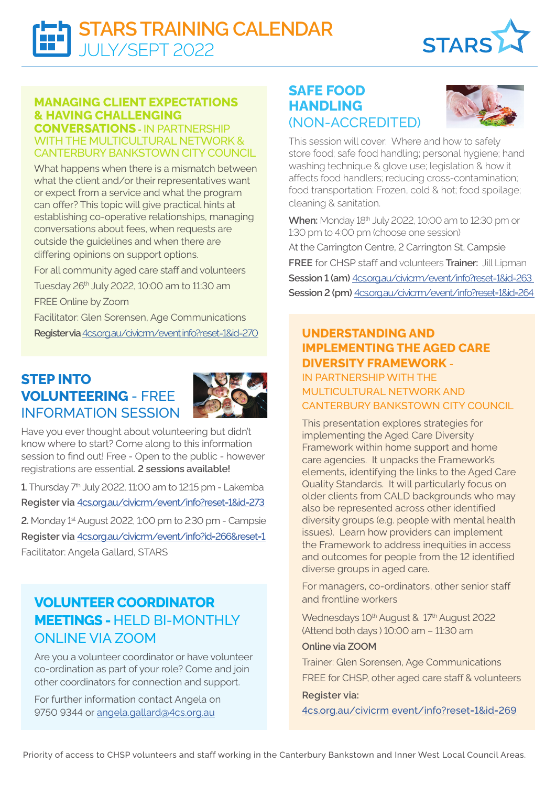

### **MANAGING CLIENT EXPECTATIONS & HAVING CHALLENGING**

**CONVERSATIONS -** IN PARTNERSHIP WITH THE MULTICULTURAL NETWORK & CANTERBURY BANKSTOWN CITY COUNCIL

What happens when there is a mismatch between what the client and/or their representatives want or expect from a service and what the program can offer? This topic will give practical hints at establishing co-operative relationships, managing conversations about fees, when requests are outside the guidelines and when there are differing opinions on support options.

For all community aged care staff and volunteers Tuesday 26th July 2022, 10:00 am to 11:30 am FREE Online by Zoom Facilitator: Glen Sorensen, Age Communications **Register via** [4cs.org.au/civicrm/event info?reset=1&id=270](https://www.4cs.org.au/civicrm/event/info?reset=1&id=270)

## **STEP INTO VOLUNTEERING** - FREE INFORMATION SESSION



Have you ever thought about volunteering but didn't know where to start? Come along to this information session to find out! Free - Open to the public - however registrations are essential. **2 sessions available!**

**1**. Thursday 7th July 2022, 11:00 am to 12:15 pm - Lakemba **Register via** [4cs.org.au/civicrm/event/info?reset=1&id=2](https://www.4cs.org.au/civicrm/event/info?reset=1&id=273)73

**2.** Monday 1st August 2022, 1:00 pm to 2:30 pm - Campsie **Register via** [4cs.org.au/civicrm/event/info?id=266&reset=1](https://www.4cs.org.au/civicrm/event/info?id=266&reset=1)

Facilitator: Angela Gallard, STARS

# **VOLUNTEER COORDINATOR MEETINGS -** HELD BI-MONTHLY ONLINE VIA ZOOM

Are you a volunteer coordinator or have volunteer co-ordination as part of your role? Come and join other coordinators for connection and support.

For further information contact Angela on 9750 9344 or [angela.gallard@4cs.org.au](mailto:angela.gallard%404cs.org.au?subject=)

### **SAFE FOOD HANDLING**  (NON-ACCREDITED)



This session will cover: Where and how to safely store food; safe food handling; personal hygiene; hand washing technique & glove use; legislation & how it affects food handlers; reducing cross-contamination; food transportation: Frozen, cold & hot; food spoilage; cleaning & sanitation.

**When:** Monday 18th July 2022, 10:00 am to 12:30 pm or 1:30 pm to 4:00 pm (choose one session)

At the Carrington Centre, 2 Carrington St, Campsie **FREE** for CHSP staff and volunteers **Trainer:** Jill Lipman **Session 1 (am)** [4cs.org.au/civicrm/event/info?reset=1&id=263](https://www.4cs.org.au/civicrm/event/info?reset=1&id=263)  **Session 2 (pm)** [4cs.org.au/civicrm/event/info?reset=1&id=264](https://www.4cs.org.au/civicrm/event/info?reset=1&id=264) 

### **UNDERSTANDING AND IMPLEMENTING THE AGED CARE DIVERSITY FRAMEWORK** -

IN PARTNERSHIP WITH THE MULTICULTURAL NETWORK AND CANTERBURY BANKSTOWN CITY COUNCIL

This presentation explores strategies for implementing the Aged Care Diversity Framework within home support and home care agencies. It unpacks the Framework's elements, identifying the links to the Aged Care Quality Standards. It will particularly focus on older clients from CALD backgrounds who may also be represented across other identified diversity groups (e.g. people with mental health issues). Learn how providers can implement the Framework to address inequities in access and outcomes for people from the 12 identified diverse groups in aged care.

For managers, co-ordinators, other senior staff and frontline workers

Wednesdays 10<sup>th</sup> August & 17<sup>th</sup> August 2022 (Attend both days ) 10:00 am – 11:30 am

#### **Online via ZOOM**

Trainer: Glen Sorensen, Age Communications FREE for CHSP, other aged care staff & volunteers

#### **Register via:**

[4cs.org.au/civicrm event/info?reset=1&id=269](https://www.4cs.org.au/civicrm/event/info?reset=1&id=269)